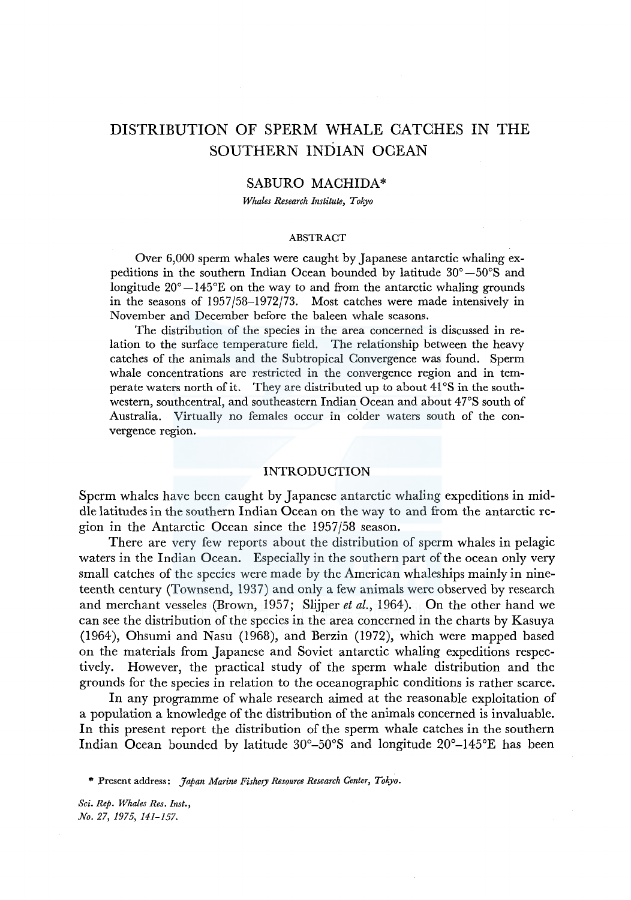# DISTRIBUTION OF SPERM WHALE CATCHES IN THE SOUTHERN INDIAN OCEAN

# SABURO MACHIDA\*

*Whales Research Institute, Tokyo* 

#### ABSTRACT

Over 6,000 sperm whales were caught by Japanese antarctic whaling expeditions in the southern Indian Ocean bounded by latitude 30° -50°S and longitude  $20^{\circ} - 145^{\circ}E$  on the way to and from the antarctic whaling grounds in the seasons of 1957/58-1972/73. Most catches were made intensively in November and December before the baleen whale seasons.

The distribution of the species in the area concerned is discussed in relation to the surface temperature field. The relationship between the heavy catches of the animals and the Subtropical Convergence was found. Sperm whale concentrations are restricted in the convergence region and in temperate waters north of it. They are distributed up to about 41°S in the southwestern, southcentral, and southeastern Indian Ocean and about 47°S south of Australia. Virtually no females occur in colder waters south of the convergence region.

# INTRODUCTION

Sperm whales have been caught by Japanese antarctic whaling expeditions in middle latitudes in the southern Indian Ocean on the way to and from the antarctic region in the Antarctic Ocean since the 1957/58 season.

There are very few reports about the distribution of sperm whales in pelagic waters in the Indian Ocean. Especially in the southern part of the ocean only very small catches of the species were made by the American whaleships mainly in nineteenth century (Townsend, 1937) and only a few animals were observed by research and merchant vesseles (Brown, 1957; Slijper *et al.,* 1964). On the other hand we can see the distribution of the species in the area concerned in the charts by Kasuya (1964), Ohsumi and Nasu (1968), and Berzin (1972), which were mapped based on the materials from Japanese and Soviet antarctic whaling expeditions respectively. However, the practical study of the sperm whale distribution and the grounds for the species in relation to the oceanographic conditions is rather scarce.

In any programme of whale research aimed at the reasonable exploitation of a population a knowledge of the distribution of the animals concerned is invaluable. In this present report the distribution of the sperm whale catches in the southern Indian Ocean bounded by latitude  $30^{\circ}$ – $50^{\circ}$ S and longitude  $20^{\circ}$ – $145^{\circ}$ E has been

\* Present address: *Japan Marine Fishery Resource Research Center, Tokyo.*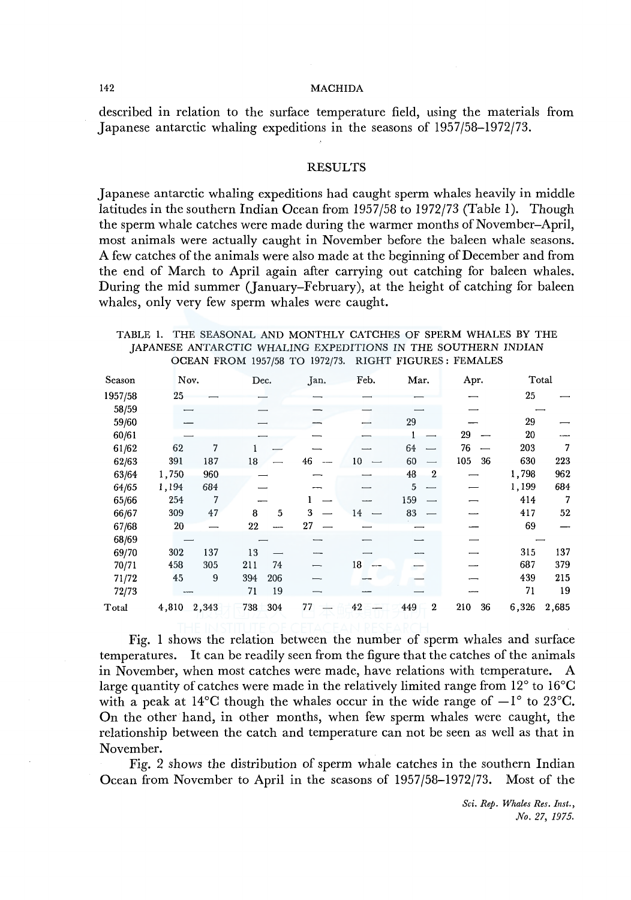#### 142 MACHIDA

described in relation to the surface temperature field, using the materials from Japanese antarctic whaling expeditions in the seasons of 1957/58-1972/73.

## RESULTS

Japanese antarctic whaling expeditions had caught sperm whales heavily in middle latitudes in the southern Indian Ocean from 1957/58 to 1972/73 (Table 1). Though the sperm whale catches were made during the warmer months of November-April, most animals were actually caught in November before the baleen whale seasons. A few catches of the animals were also made at the beginning of December and from the end of March to April again after carrying out catching for baleen whales. During the mid summer (January-February), at the height of catching for baleen whales, only very few sperm whales were caught.

TABLE 1. THE SEASONAL AND MONTHLY CATCHES OF SPERM WHALES BY THE JAPANESE ANTARCTIC WHALING EXPEDITIONS IN THE SOUTHERN INDIAN OCEAN FROM 1957/58 TO 1972/73. RIGHT FIGURES: FEMALES

| Season                          | Nov.  |       | Dec. |     | Jan. | Feb. | Mar.                    | Apr.      |       | Total |
|---------------------------------|-------|-------|------|-----|------|------|-------------------------|-----------|-------|-------|
| 1957/58                         | 25    |       |      |     |      |      |                         |           | 25    |       |
| 58/59                           |       |       |      |     |      |      |                         |           |       |       |
| 59/60                           |       |       |      |     |      |      | 29                      |           | 29    |       |
| 60/61                           |       |       |      |     |      |      |                         | 29        | 20    |       |
| 61/62                           | 62    | 7     |      |     |      |      | 64                      | 76        | 203   | 7     |
| 62/63                           | 391   | 187   | 18   |     | 46   | 10   | 60                      | 105<br>36 | 630   | 223   |
| 63/64                           | 1,750 | 960   |      |     |      |      | 48<br>$\boldsymbol{2}$  |           | 1,798 | 962   |
| 64/65                           | 1,194 | 684   |      |     |      |      | 5                       |           | 1,199 | 684   |
| 65/66                           | 254   |       |      |     |      |      | 159                     |           | 414   | 7     |
| 66/67                           | 309   | 47    | 8    | 5   | 3    | 14   | 83                      |           | 417   | 52    |
| 67/68                           | 20    |       | 22   |     | 27   |      |                         |           | 69    |       |
| 68/69                           |       |       |      |     |      |      |                         |           |       |       |
| 69/70                           | 302   | 137   | 13   |     |      |      |                         |           | 315   | 137   |
| 70/71                           | 458   | 305   | 211  | 74  |      | 18   |                         |           | 687   | 379   |
| 71/72                           | 45    | 9     | 394  | 206 |      |      |                         |           | 439   | 215   |
| 72/73                           |       |       | 71   | 19  |      |      |                         |           | 71    | 19    |
| $\operatorname{\mathsf{Total}}$ | 4,810 | 2,343 | 738  | 304 | 77   | 42   | $\boldsymbol{2}$<br>449 | 210<br>36 | 6,326 | 2,685 |

Fig. 1 shows the relation between the number of sperm whales and surface temperatures. It can be readily seen from the figure that the catches of the animals in November, when most catches were made, have relations with temperature. A large quantity of catches were made in the relatively limited range from 12° to l6°C with a peak at 14<sup>o</sup>C though the whales occur in the wide range of  $-1^{\circ}$  to 23<sup>o</sup>C. On the other hand, in other months, when few sperm whales were caught, the relationship between the catch and temperature can not be seen as well as that in November.

Fig. 2 shows the distribution of sperm whale catches in the southern Indian Ocean from November to April in the seasons of 1957/58-1972/73. Most of the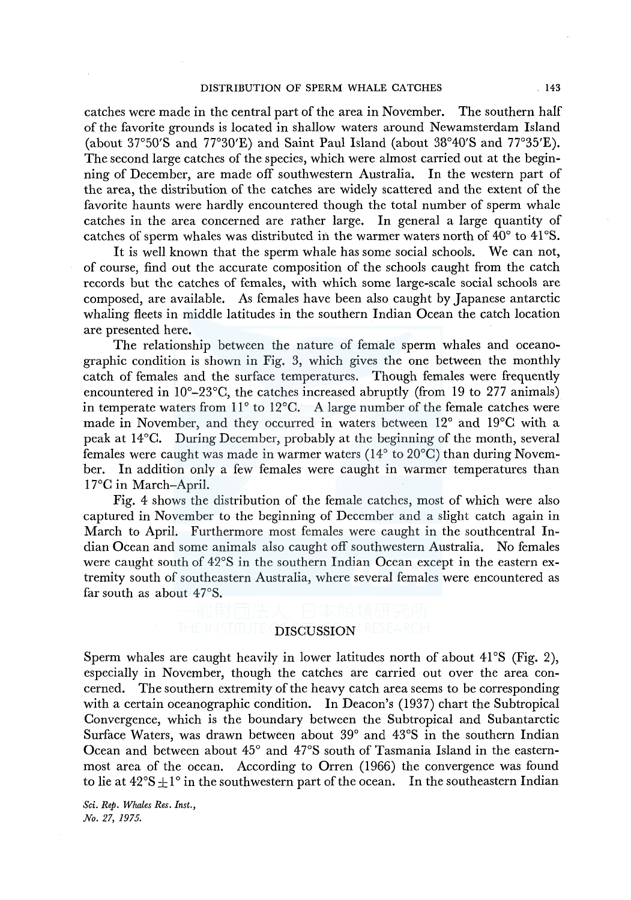catches were made in the central part of the area in November. The southern half of the favorite grounds is located in shallow waters around Newamsterdam Island (about 37°50'S and 77°30'E) and Saint Paul Island (about 38°40'S and 77°35'E). The second large catches of the species, which were almost carried out at the beginning of December, are made off southwestern Australia. In the western part of the area, the distribution of the catches are widely scattered and the extent of the favorite haunts were hardly encountered though the total number of sperm whale catches in the area concerned are rather large. In general a large quantity of catches of sperm whales was distributed in the warmer waters north of 40° to 41°S.

It is well known that the sperm whale has some social schools. We can not, of course, find out the accurate composition of the schools caught from the catch records but the catches of females, with which some large-scale social schools are composed, are available. As females have been also caught by Japanese antarctic whaling fleets in middle latitudes in the southern Indian Ocean the catch location are presented here.

The relationship between the nature of female sperm whales and oceanographic condition is shown in Fig. 3, which gives the one between the monthly catch of females and the surface temperatures. Though females were frequently encountered in l0°-23°C, the catches increased abruptly (from 19 to 277 animals) in temperate waters from 11° to l2°C. A large number of the female catches were made in November, and they occurred in waters between 12° and 19°C with a peak at l4°C. During December, probably at the beginning of the month, several females were caught was made in warmer waters (14° to 20°C) than during November. In addition only a few females were caught in warmer temperatures than 17°C in March-April.

Fig. 4 shows the distribution of the female catches, most of which were also captured in November to the beginning of December and a slight catch again in March to April. Furthermore most females were caught in the southcentral Indian Ocean and some animals also caught off southwestern Australia. No females were caught south of 42°S in the southern Indian Ocean except in the eastern extremity south of southeastern Australia, where several females were encountered as far south as about  $47^{\circ}$ S.

# DISCUSSION

Sperm whales are caught heavily in lower latitudes north of about  $41^{\circ}$ S (Fig. 2), especially in November, though the catches are carried out over the area concerned. The southern extremity of the heavy catch area seems to be corresponding with a certain oceanographic condition. In Deacon's (1937) chart the Subtropical Convergence, which is the boundary between the Subtropical and Subantarctic Surface Waters, was drawn between about 39° and 43°S in the southern Indian Ocean and between about 45° and 47°S south of Tasmania Island in the easternmost area of the ocean. According to Orren (1966) the convergence was found to lie at  $42^{\circ}S \pm 1^{\circ}$  in the southwestern part of the ocean. In the southeastern Indian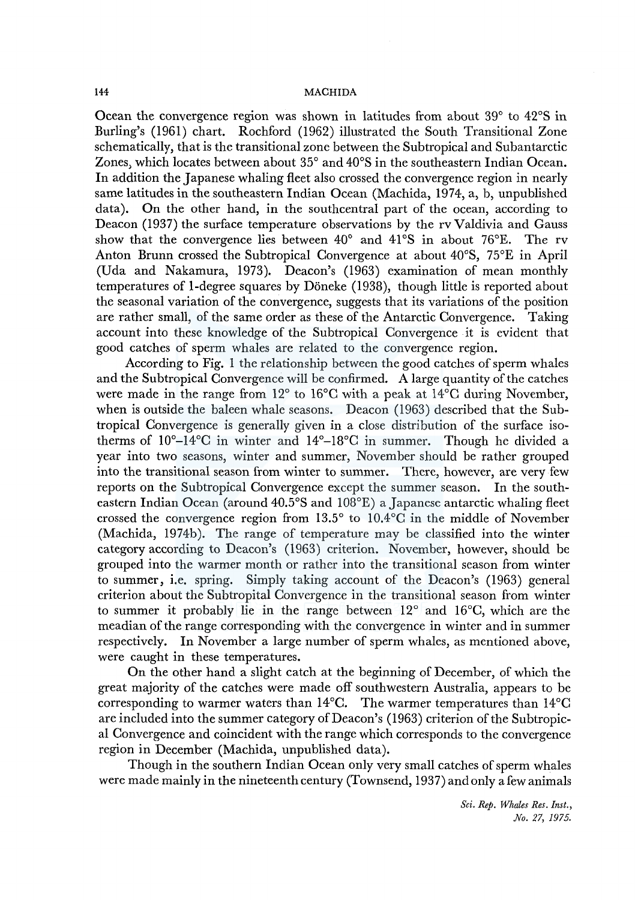Ocean the convergence region was shown in latitudes from about 39° to 42°S in Burling's (1961) chart. Rochford (1962) illustrated the South Transitional Zone schematically, that is the transitional zone between the Subtropical and Subantarctic Zones, which locates between about 35° and 40°S in the southeastern Indian Ocean. In addition the Japanese whaling fleet also crossed the convergence region in nearly same latitudes in the southeastern Indian Ocean (Machida, 1974, a, b, unpublished data). On the other hand, in the southcentral part of the ocean, according to Deacon (1937) the surface temperature observations by the rv Valdivia and Gauss show that the convergence lies between  $40^{\circ}$  and  $41^{\circ}S$  in about 76°E. The rv show that the convergence lies between  $40^{\circ}$  and  $41^{\circ}$ S in about 76 $^{\circ}$ E. Anton Brunn crossed the Subtropical Convergence at about 40°S, 75°E in April (Uda and Nakamura, 1973). Deacon's (1963) examination of mean monthly temperatures of 1-degree squares by Döneke (1938), though little is reported about the seasonal variation of the convergence, suggests that its variations of the position are rather small, of the same order as these of the Antarctic Convergence. Taking account into these knowledge of the Subtropical Convergence it is evident that good catches of sperm whales are related to the convergence region.

According to Fig. 1 the relationship between the good catches of sperm whales and the Subtropical Convergence will be confirmed. A large quantity of the catches were made in the range from 12° to 16°C with a peak at l4°C during November, when is outside the baleen whale seasons. Deacon (1963) described that the Subtropical Convergence is generally given in a close distribution of the surface isotherms of  $10^{\circ}$ – $14^{\circ}$ C in winter and  $14^{\circ}$ – $18^{\circ}$ C in summer. Though he divided a year into two seasons, winter and summer, November should be rather grouped into the transitional season from winter to summer. There, however, are very few reports on the Subtropical Convergence except the summer season. In the southeastern Indian Ocean (around 40.5°S and 108°E) a Japanese antarctic whaling fleet crossed the convergence region from 13.5° to 10.4°C in the middle of November (Machida, 1974b). The range of temperature may be classified into the winter category according to Deacon's (1963) criterion. November, however, should be grouped into the warmer month or rather into the transitional season from winter to summer, i.e. spring. Simply taking account of the Deacon's (1963) general criterion about the Subtropital Convergence in the transitional season from winter to summer it probably lie in the range between 12° and l6°C, which are the meadian of the range corresponding with the convergence in winter and in summer respectively. In November a large number of sperm whales, as mentioned above, were caught in these temperatures.

On the other hand a slight catch at the beginning of December, of which the great majority of the catches were made off southwestern Australia, appears to be corresponding to warmer waters than  $14^{\circ}$ C. The warmer temperatures than  $14^{\circ}$ C are included into the summer category of Deacon's (1963) criterion of the Subtropical Convergence and coincident with the range which corresponds to the convergence region in December (Machida, unpublished data).

Though in the southern Indian Ocean only very small catches of sperm whales were made mainly in the nineteenth century (Townsend, 1937) and only a few animals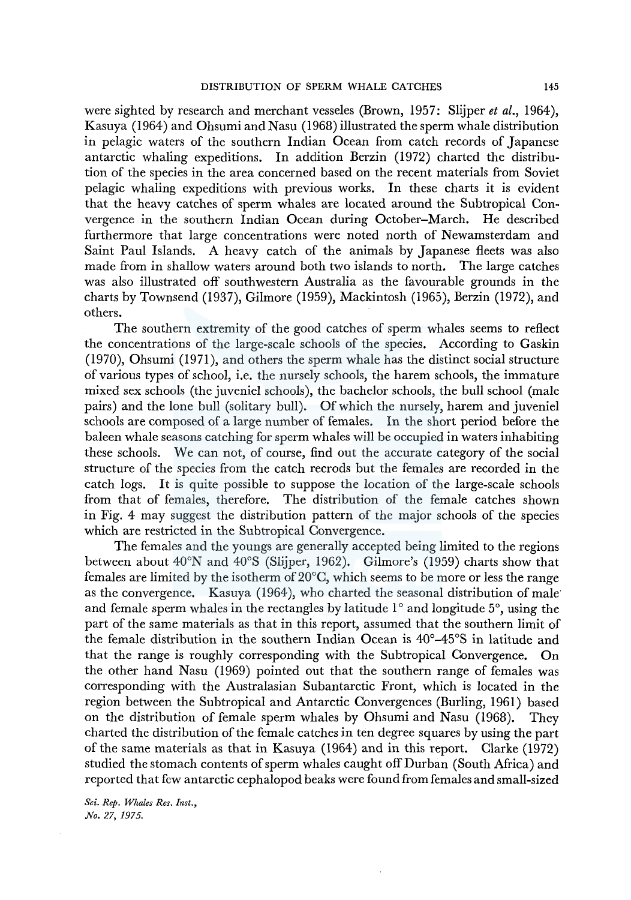were sighted by research and merchant vesseles (Brown, 1957: Slijper *et al.,* 1964), Kasuya (1964) and Ohsumi and Nasu (1968) illustrated the sperm whale distribution in pelagic waters of the southern Indian Ocean from catch records of Japanese antarctic whaling expeditions. In addition Berzin (1972) charted the distribution of the species in the area concerned based on the recent materials from Soviet pelagic whaling expeditions with previous works. In these charts it is evident that the heavy catches of sperm whales are located around the Subtropical Convergence in the southern Indian Ocean during October-March. He described furthermore that large concentrations were noted north of Newamsterdam and Saint Paul Islands. A heavy catch of the animals by Japanese fleets was also made from in shallow waters around both two islands to north. The large catches was also illustrated off southwestern Australia as the favourable grounds in the charts by Townsend (1937), Gilmore (1959), Mackintosh (1965), Berzin (1972), and others.

The southern extremity of the good catches of sperm whales seems to reflect the concentrations of the large-scale schools of the species. According to Gaskin (1970), Ohsumi (1971), and others the sperm whale has the distinct social structure of various types of school, i.e. the nursely schools, the harem schools, the immature mixed sex schools (the juveniel schools), the bachelor schools, the bull school (male pairs) and the lone bull (solitary bull). Of which the nursely, harem and juveniel schools are composed of a large number of females. In the short period before the baleen whale seasons catching for sperm whales will be occupied in waters inhabiting these schools. We can not, of course, find out the accurate category of the social structure of the species from the catch recrods but the females are recorded in the catch logs. It is quite possible to suppose the location of the large-scale schools from that of females, therefore. The distribution of the female catches shown in Fig. 4 may suggest the distribution pattern of the major schools of the species which are restricted in the Subtropical Convergence.

The females and the youngs are generally accepted being limited to the regions between about 40°N and 40°S (Slijper, 1962). Gilmore's (1959) charts show that females are limited by the isotherm of 20°C, which seems to be more or less the range as the convergence. Kasuya (1964), who charted the seasonal distribution of male and female sperm whales in the rectangles by latitude  $1^{\circ}$  and longitude  $5^{\circ}$ , using the part of the same materials as that in this report, assumed that the southern limit of the female distribution in the southern Indian Ocean is 40°-45°S in latitude and that the range is roughly corresponding with the Subtropical Convergence. On the other hand Nasu (1969) pointed out that the southern range of females was corresponding with the Australasian Subantarctic Front, which is located in the region between the Subtropical and Antarctic Convergences (Burling, 1961) based on the distribution of female sperm whales by Ohsumi and Nasu (1968). They charted the distribution of the female catches in ten degree squares by using the part of the same materials as that in Kasuya (1964) and in this report. Clarke (1972) studied the stomach contents of sperm whales caught off Durban (South Africa) and reported that few antarctic cephalopod beaks were found from females and small-sized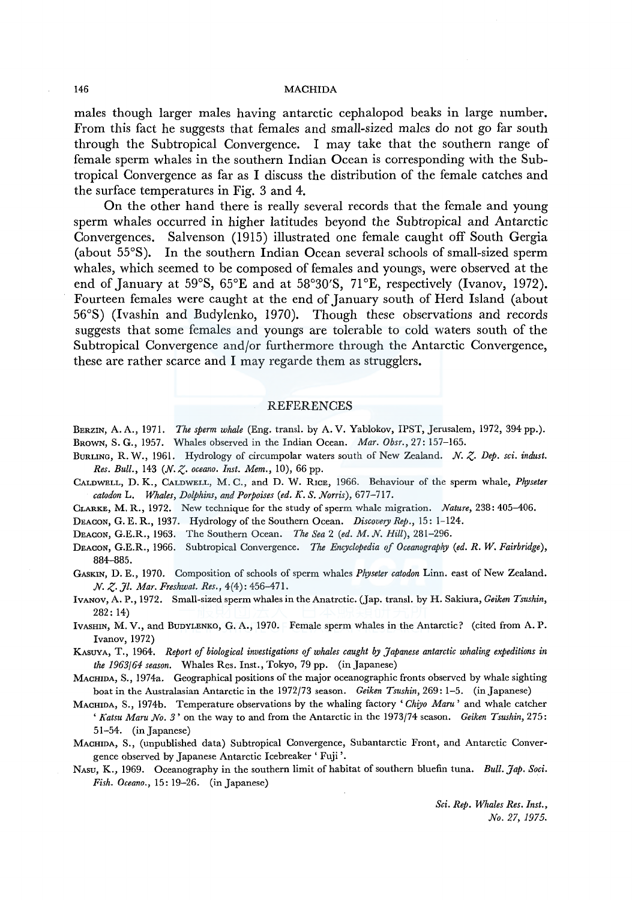# 146 MACHIDA

males though larger males having antarctic cephalopod beaks in large number. From this fact he suggests that females and small-sized males do not go far south through the Subtropical Convergence. I may take that the southern range of female sperm whales in the southern Indian Ocean is corresponding with the Subtropical Convergence as far as I discuss the distribution of the female catches and the surface temperatures in Fig. 3 and 4.

On the other hand there is really several records that the female and young sperm whales occurred in higher latitudes beyond the Subtropical and Antarctic Convergences. Salvenson (1915) illustrated one female caught off South Gergia (about 55°S). In the southern Indian Ocean several schools of small-sized sperm whales, which seemed to be composed of females and youngs, were observed at the end of January at 59°S, 65°E and at 58°30'S, 71°E, respectively (Ivanov, 1972). Fourteen females were caught at the end of January south of Herd Island (about 56°S) (lvashin and Budylenko, 1970). Though these observations and records suggests that some females and youngs are tolerable to cold waters south of the Subtropical Convergence and/or furthermore through the Antarctic Convergence, these are rather scarce and I may regarde them as strugglers.

## REFERENCES

- BERZIN, A. A., 1971. *The sperm whale* (Eng. transl. by A. V. Yablokov, IPST, Jerusalem, 1972, 394 pp.). BROWN, S. G., 1957. Whales observed in the Indian Ocean. *Mar. Obsr.,* 27: 157-165.
- BURLING, R. W., 1961. Hydrology of circumpolar waters south of New Zealand. *N.* z. *Dep. sci. indust. Res. Bull.,* 143 *(N. Z· oceano. Inst. Mem.,* 10), 66 pp.
- CALDWELL, D. K., CALDWELL, M. C., and D. W. RrcE, 1966. Behaviour of the sperm whale, *Physeter catodon* L. *Whales, Dolphins, and Porpoises (ed. K. S. Norris),* 677-717.

CLARKE, M. R., 1972. New technique for the study of sperm whale migration. *Nature,* 238: 405-406.

DEACON, G. E. R., 1937. Hydrology of the Southern Ocean. *Discovery Rep.,* 15: 1-124.

DEACON, G.E.R., 1963. The Southern Ocean. *The Sea* 2 *(ed. M. N. Hill),* 281-296.

- DEACON, G.E.R., 1966. Subtropical Convergence. The *Encyclopedia of Oceanography (ed. R. W. Fairbridge),*  884-885.
- GASKIN, D. E., 1970. Composition of schools of sperm whales *Physeter catodon* Linn. east of New Zealand. *N. Z· Jl. Mar. Freshwat. Res.,* 4(4): 456-471.
- IVANOV, A. P., 1972. Small-sized sperm whales in the Anatrctic. (Jap. transl. by H. Sakiura, *Geiken Tsushin,*  282: 14)
- lvAsHIN, M. V., and BuDYLENKO, G. A., 1970. Female sperm whales in the Antarctic? (cited from A. P. Ivanov, 1972)
- KASUYA, T., 1964. *Report of biological investigations of whales caught by Japanese antarctic whaling expeditions in the 1963/64 season.* Whales Res. Inst., Tokyo, 79 pp. (in Japanese)
- MACHIDA, S., 1974a. Geographical positions of the major oceanographic fronts observed by whale sighting boat in the Australasian Antarctic in the 1972/73 season. *Geiken Tsushin,* 269: 1-5. (in Japanese)
- MACHIDA, S., 1974b. Temperature observations by the whaling factory *'Chiyo Maru'* and whale catcher *'Katsu Maru No. 3'* on the way to and from the Antarctic in the 1973/74 season. *Geiken Tsushin,* 275: 51-54. (in Japanese)
- MACHIDA, S., (unpublished data) Subtropical Convergence, Subantarctic Front, and Antarctic Convergence observed by Japanese Antarctic Icebreaker' Fuji'.
- NAsu, K., 1969. Oceanography in the southern limit of habitat of southern bluefin tuna. *Bull. Jap. Soci. Fish. Oceano.,* 15: 19-26. (in Japanese)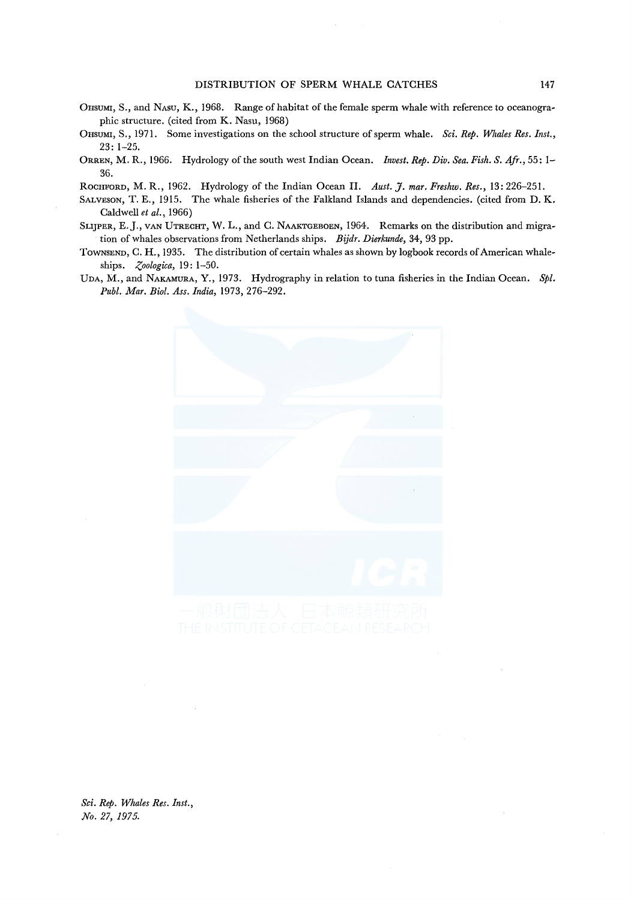- OHSUMI, S., and NASU, K., 1968. Range of habitat of the female sperm whale with reference to oceanographic structure. (cited from K. Nasu, 1968)
- 0HSUMI, S., 1971. Some investigations on the school structure of sperm whale. *Sci. Rep. Whales Res. Inst.,*  23: 1-25.
- ORREN, M. R., 1966. Hydrology of the south west Indian Ocean. *Invest. Rep. Div. Sea. Fish. S. Afr.,* 55: 1- 36.

ROCHFORD, M. R., 1962. Hydrology of the Indian Ocean II. *Aust.* J. *mar. Freshw. Res.,* 13: 226-251.

- SALVESON, T. E., 1915. The whale fisheries of the Falkland Islands and dependencies. (cited from D. K. Caldwell *et al.,* 1966)
- SLIJPER, E.J., VAN UTRECHT, W. L., and C. NAAKTGEBOEN, 1964. Remarks on the distribution and migration of whales observations from Netherlands ships. *Bijdr. Dierkunde,* 34, 93 pp.
- TOWNSEND, C. H., 1935. The distribution of certain whales as shown by logbook records of American whaleships. *Zoologica*, 19: 1-50.
- UDA, M., and NAKAMURA, Y., 1973. Hydrography in relation to tuna fisheries in the Indian Ocean. *Spl. Puhl. Mar. Biol. Ass. India,* 1973, 276-292.



*Sci. Rep. Whales Res. Inst., No. 27, 1975.*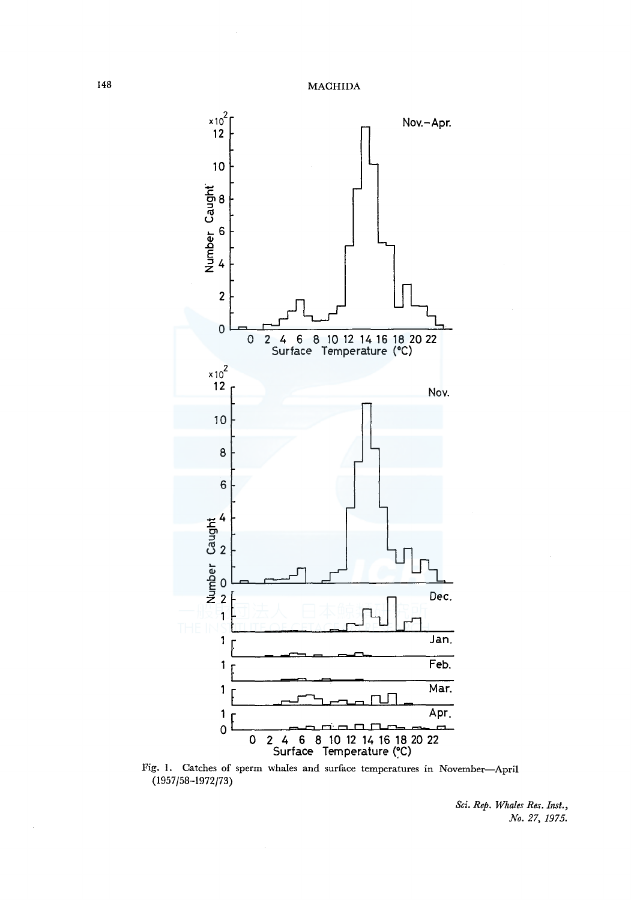

Fig. I. Catches of sperm whales and surface temperatures in November-April (1957/58-1972/73)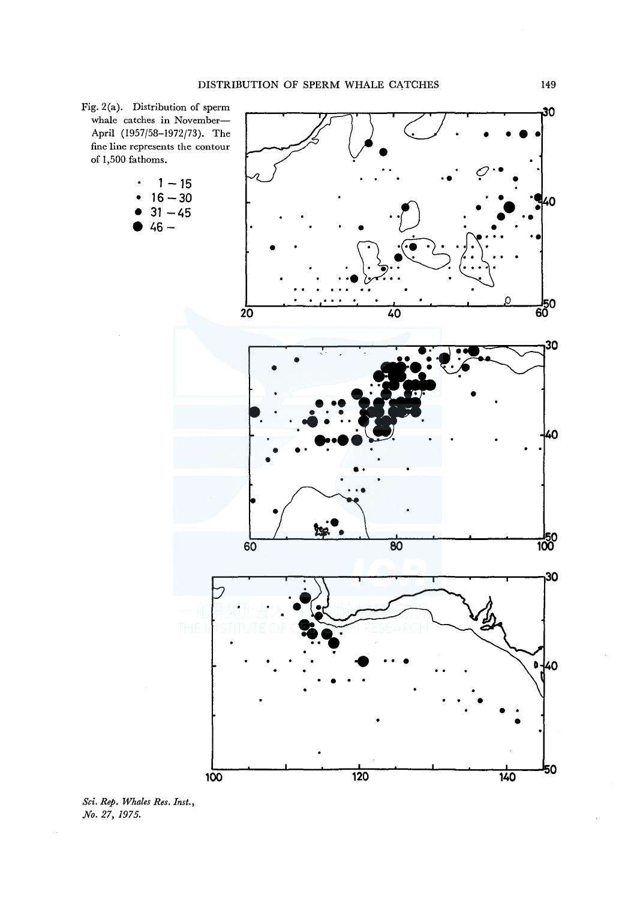

*Sci. Rep. Whales Res. Inst., No. 27, 1975.*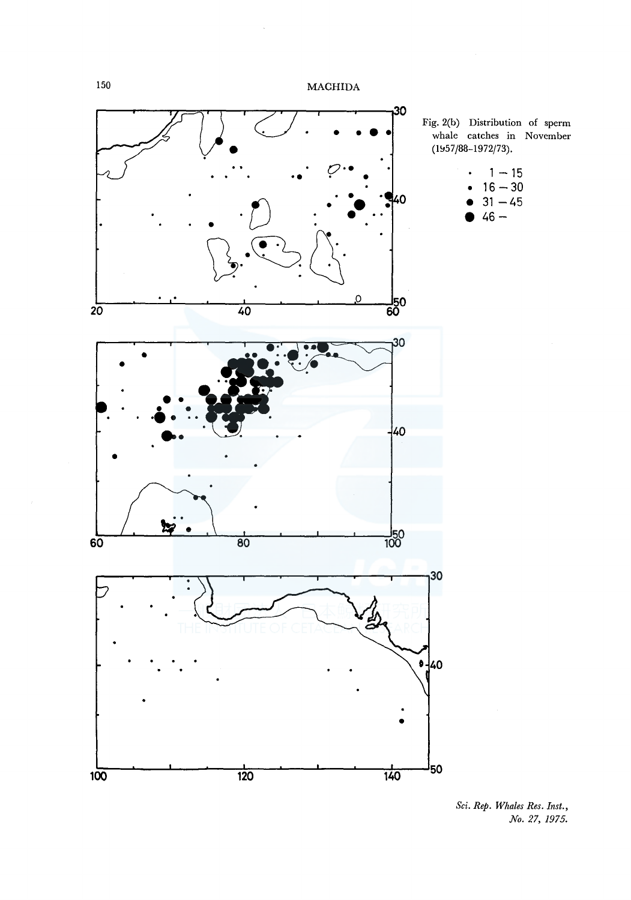

Fig. 2(b) Distribution of sperm whale catches in November  $(1957 / 88 - 1972 / 73)$ .

| ٠         | $1 - 15$  |
|-----------|-----------|
| $\bullet$ | $16 - 30$ |
| ٠         | $31 - 45$ |

• **46-**





*Sci. Rep. Whales Res. Inst., No. 27, 1975.*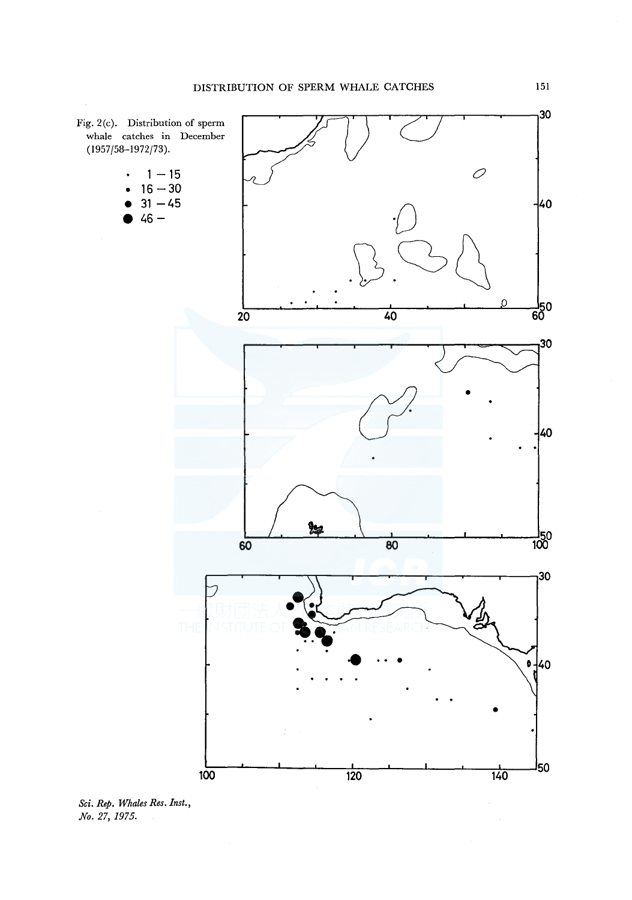

*Sci. Rep. Whales Res. Inst., No. 27, 1975.*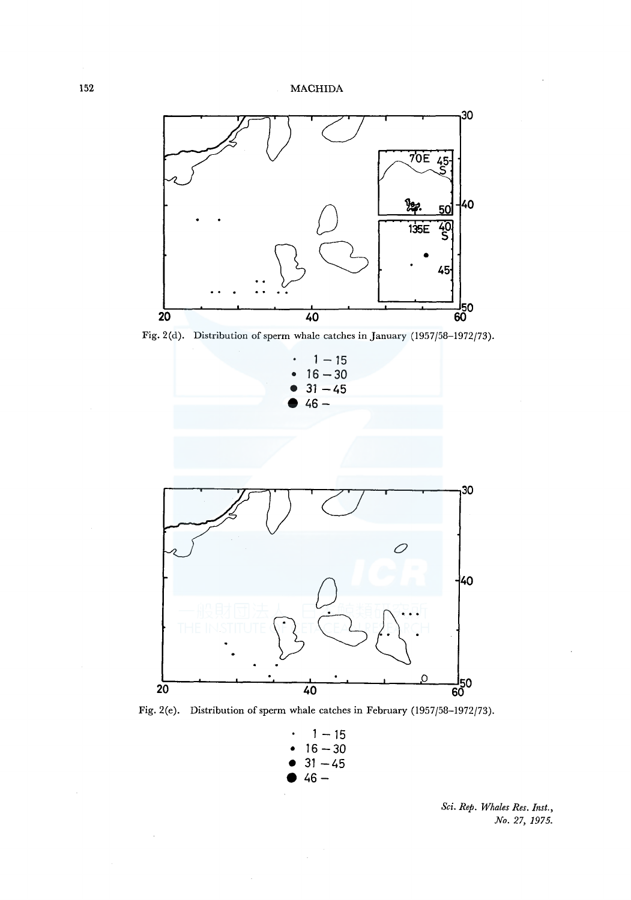

Fig. 2(d). Distribution of sperm whale catches in January (1957/58-1972/73).



Fig. 2(e). Distribution of sperm whale catches in February (1957/58-1972/73).

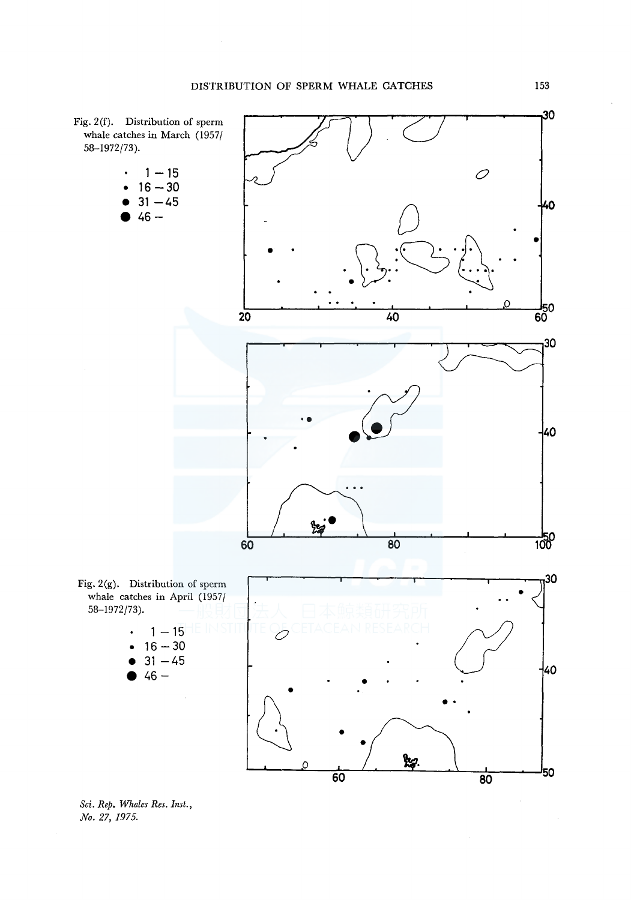

*Sci. Rep. Whales Res. Inst., No. 27, 1975.*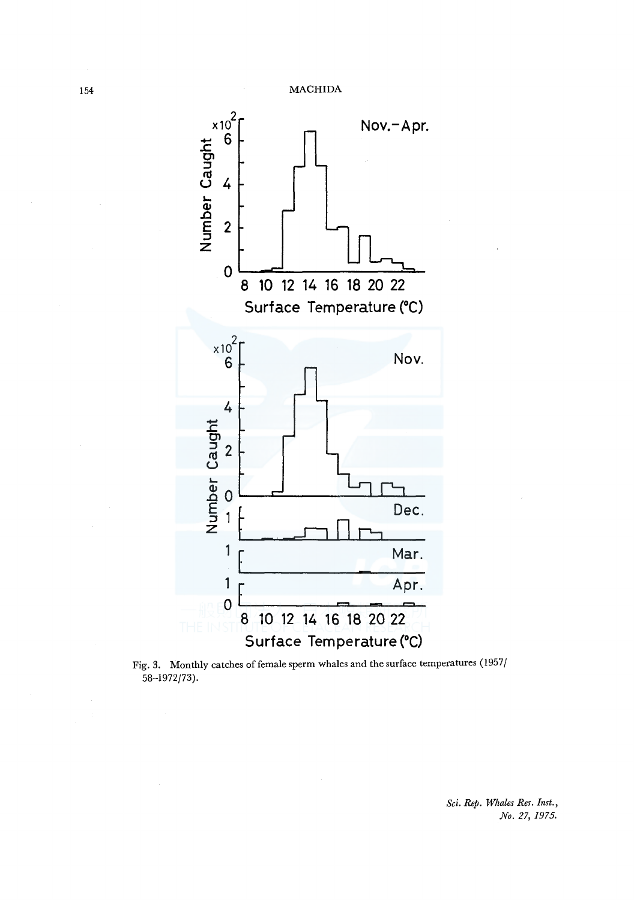

Fig. 3. Monthly catches of female sperm whales and the surface temperatures (1957/ 58-1972/73).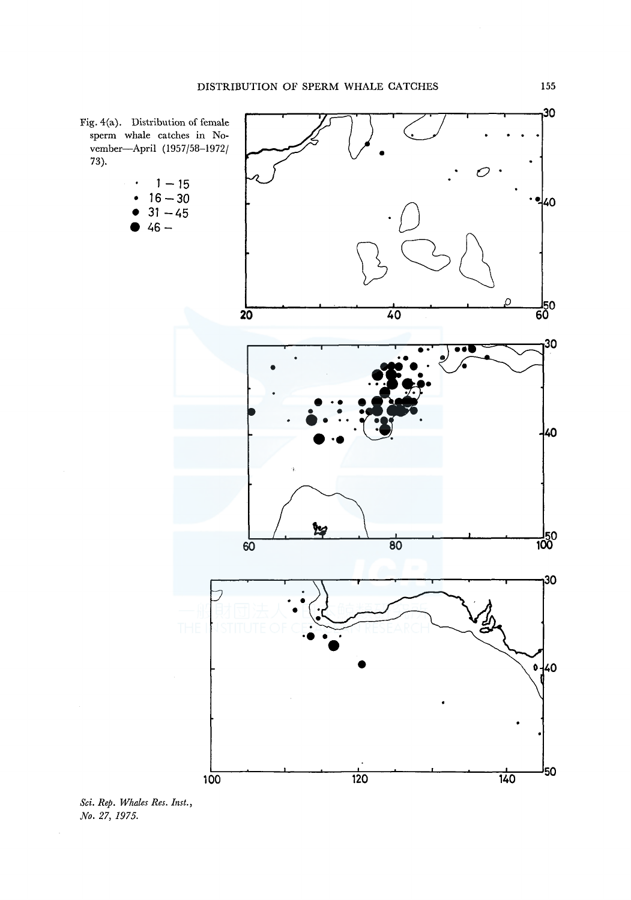

*Sci. Rep. Whales Res. Inst., No. 27, 1975.*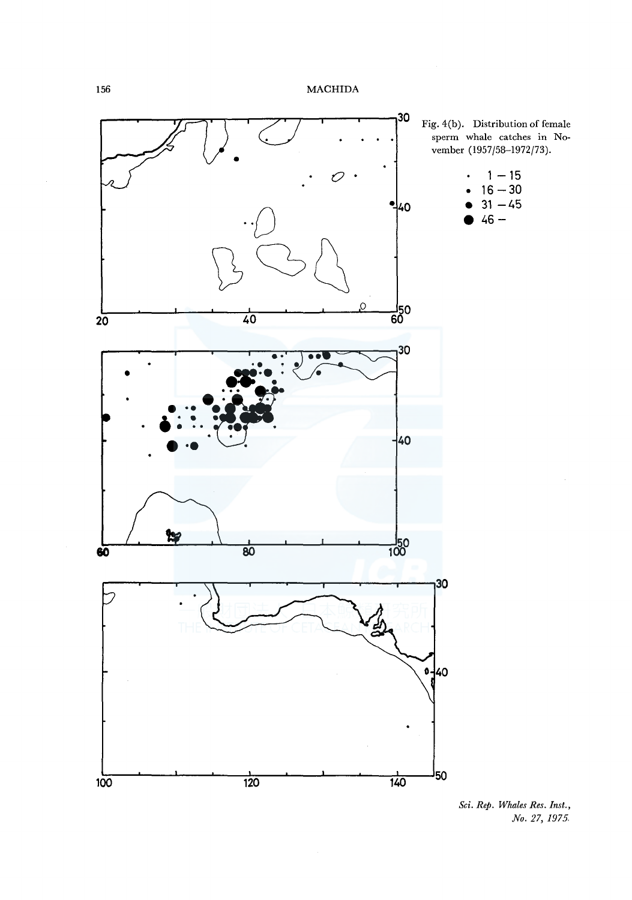

*Sci. Rep. Whales Res. Inst., No. 27, 1975.*